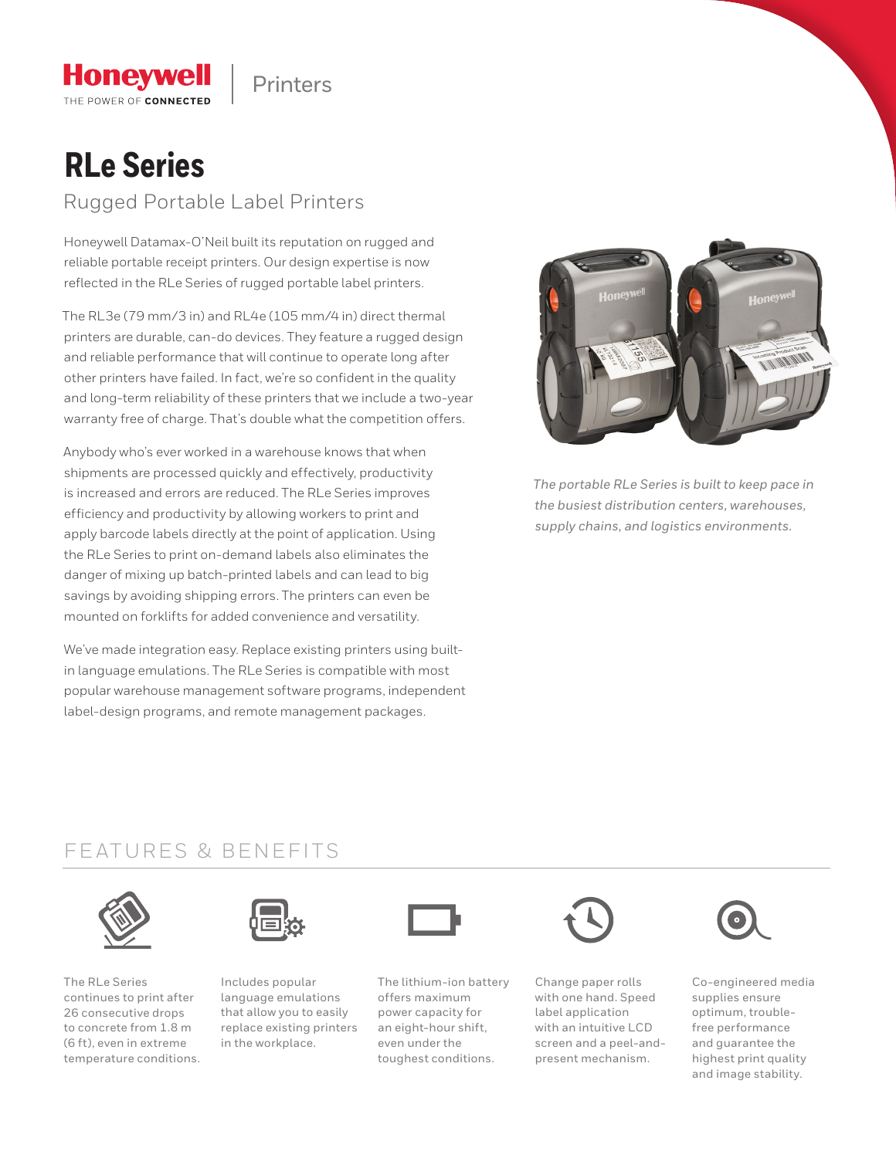

# **RLe Series**

**Honeywell** THE POWER OF CONNECTED

### Rugged Portable Label Printers

Honeywell Datamax-O'Neil built its reputation on rugged and reliable portable receipt printers. Our design expertise is now reflected in the RLe Series of rugged portable label printers.

The RL3e (79 mm/3 in) and RL4e (105 mm/4 in) direct thermal printers are durable, can-do devices. They feature a rugged design and reliable performance that will continue to operate long after other printers have failed. In fact, we're so confident in the quality and long-term reliability of these printers that we include a two-year warranty free of charge. That's double what the competition offers.

Anybody who's ever worked in a warehouse knows that when shipments are processed quickly and effectively, productivity is increased and errors are reduced. The RLe Series improves efficiency and productivity by allowing workers to print and apply barcode labels directly at the point of application. Using the RLe Series to print on-demand labels also eliminates the danger of mixing up batch-printed labels and can lead to big savings by avoiding shipping errors. The printers can even be mounted on forklifts for added convenience and versatility.

We've made integration easy. Replace existing printers using builtin language emulations. The RLe Series is compatible with most popular warehouse management software programs, independent label-design programs, and remote management packages.



*The portable RLe Series is built to keep pace in the busiest distribution centers, warehouses, supply chains, and logistics environments.*

### FEATURES & BENEFITS



The RLe Series continues to print after 26 consecutive drops to concrete from 1.8 m (6 ft), even in extreme temperature conditions.



Includes popular language emulations that allow you to easily replace existing printers in the workplace.



The lithium-ion battery offers maximum power capacity for an eight-hour shift, even under the toughest conditions.



Change paper rolls with one hand. Speed label application with an intuitive LCD screen and a peel-andpresent mechanism.



Co-engineered media supplies ensure optimum, troublefree performance and guarantee the highest print quality and image stability.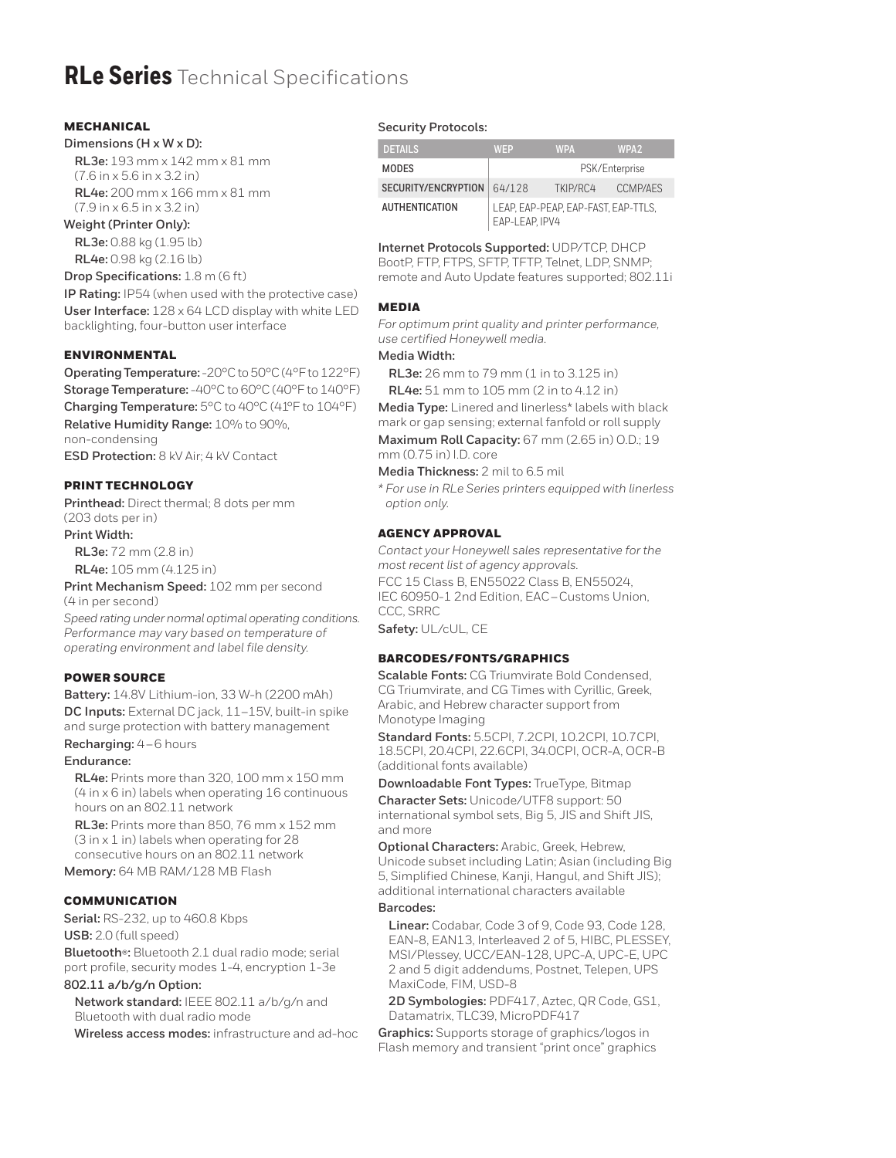# **RLe Series** Technical Specifications

#### MECHANICAL

#### **Dimensions (H x W x D):**

**RL3e:** 193 mm x 142 mm x 81 mm (7.6 in x 5.6 in x 3.2 in)

**RL4e:** 200 mm x 166 mm x 81 mm (7.9 in x 6.5 in x 3.2 in)

**Weight (Printer Only):**

**RL3e:** 0.88 kg (1.95 lb) **RL4e:** 0.98 kg (2.16 lb)

#### **Drop Specifications:** 1.8 m (6 ft)

**IP Rating:** IP54 (when used with the protective case) **User Interface:** 128 x 64 LCD display with white LED backlighting, four-button user interface

#### ENVIRONMENTAL

**Operating Temperature:** -20°C to 50°C (4°F to 122°F) **Storage Temperature:** -40°C to 60°C (40°F to 140°F) **Charging Temperature:** 5°C to 40°C (41°F to 104°F)

**Relative Humidity Range:** 10% to 90%, non-condensing

**ESD Protection:** 8 kV Air; 4 kV Contact

### PRINT TECHNOLOGY

**Printhead:** Direct thermal; 8 dots per mm (203 dots per in)

**Print Width:**

**RL3e:** 72 mm (2.8 in) **RL4e:** 105 mm (4.125 in)

**Print Mechanism Speed:** 102 mm per second (4 in per second)

*Speed rating under normal optimal operating conditions. Performance may vary based on temperature of operating environment and label file density.*

#### POWER SOURCE

**Battery:** 14.8V Lithium-ion, 33 W-h (2200 mAh) **DC Inputs:** External DC jack, 11–15V, built-in spike and surge protection with battery management **Recharging:** 4 – 6 hours

#### **Endurance:**

**RL4e:** Prints more than 320, 100 mm x 150 mm (4 in x 6 in) labels when operating 16 continuous hours on an 802.11 network

**RL3e:** Prints more than 850, 76 mm x 152 mm (3 in x 1 in) labels when operating for 28 consecutive hours on an 802.11 network

**Memory:** 64 MB RAM/128 MB Flash

#### **COMMUNICATION**

**Serial:** RS-232, up to 460.8 Kbps **USB:** 2.0 (full speed)

**Bluetooth®:** Bluetooth 2.1 dual radio mode; serial port profile, security modes 1-4, encryption 1-3e

#### **802.11 a/b/g/n Option:**

**Network standard:** IEEE 802.11 a/b/g/n and Bluetooth with dual radio mode

**Wireless access modes:** infrastructure and ad-hoc

#### **Security Protocols:**

| <b>DETAILS</b>             | <b>WFP</b>                                            | <b>WPA</b> | WPA <sub>2</sub> |
|----------------------------|-------------------------------------------------------|------------|------------------|
| MODES                      | PSK/Enterprise                                        |            |                  |
| SECURITY/ENCRYPTION 64/128 |                                                       | TKIP/RC4   | <b>CCMP/AFS</b>  |
| AUTHENTICATION             | LEAP. EAP-PEAP. EAP-FAST. EAP-TTLS.<br>EAP-LEAP. IPV4 |            |                  |

**Internet Protocols Supported:** UDP/TCP, DHCP BootP, FTP, FTPS, SFTP, TFTP, Telnet, LDP, SNMP; remote and Auto Update features supported; 802.11i

#### **MEDIA**

*For optimum print quality and printer performance, use certified Honeywell media.*

#### **Media Width:**

**RL3e:** 26 mm to 79 mm (1 in to 3.125 in)

**RL4e:** 51 mm to 105 mm (2 in to 4.12 in)

**Media Type:** Linered and linerless\* labels with black mark or gap sensing; external fanfold or roll supply **Maximum Roll Capacity:** 67 mm (2.65 in) O.D.; 19

mm (0.75 in) I.D. core

**Media Thickness:** 2 mil to 6.5 mil

*\* For use in RLe Series printers equipped with linerless option only.* 

#### AGENCY APPROVAL

*Contact your Honeywell sales representative for the most recent list of agency approvals.* 

FCC 15 Class B, EN55022 Class B, EN55024, IEC 60950-1 2nd Edition, EAC – Customs Union, CCC, SRRC

**Safety:** UL/cUL, CE

#### BARCODES/FONTS/GRAPHICS

**Scalable Fonts:** CG Triumvirate Bold Condensed, CG Triumvirate, and CG Times with Cyrillic, Greek, Arabic, and Hebrew character support from Monotype Imaging

**Standard Fonts:** 5.5CPI, 7.2CPI, 10.2CPI, 10.7CPI, 18.5CPI, 20.4CPI, 22.6CPI, 34.0CPI, OCR-A, OCR-B (additional fonts available)

**Downloadable Font Types:** TrueType, Bitmap

**Character Sets:** Unicode/UTF8 support: 50 international symbol sets, Big 5, JIS and Shift JIS, and more

**Optional Characters:** Arabic, Greek, Hebrew, Unicode subset including Latin; Asian (including Big 5, Simplified Chinese, Kanji, Hangul, and Shift JIS); additional international characters available

#### **Barcodes:**

**Linear:** Codabar, Code 3 of 9, Code 93, Code 128, EAN-8, EAN13, Interleaved 2 of 5, HIBC, PLESSEY, MSI/Plessey, UCC/EAN-128, UPC-A, UPC-E, UPC 2 and 5 digit addendums, Postnet, Telepen, UPS MaxiCode, FIM, USD-8

**2D Symbologies:** PDF417, Aztec, QR Code, GS1, Datamatrix, TLC39, MicroPDF417

**Graphics:** Supports storage of graphics/logos in Flash memory and transient "print once" graphics